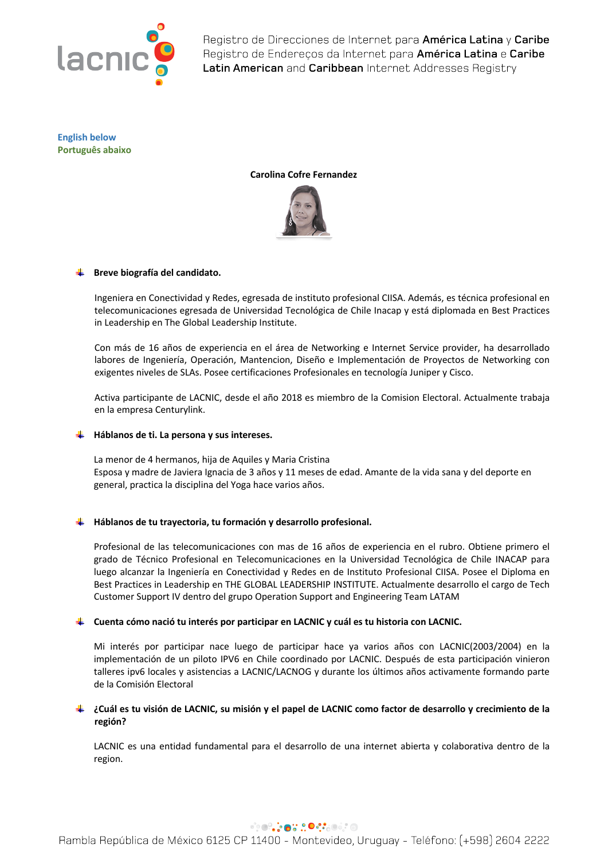

**English below Português abaixo**

## **Carolina Cofre Fernandez**



## **Breve biografía del candidato.**

Ingeniera en Conectividad y Redes, egresada de instituto profesional CIISA. Además, es técnica profesional en telecomunicaciones egresada de Universidad Tecnológica de Chile Inacap y está diplomada en Best Practices in Leadership en The Global Leadership Institute.

Con más de 16 años de experiencia en el área de Networking e Internet Service provider, ha desarrollado labores de Ingeniería, Operación, Mantencion, Diseño e Implementación de Proyectos de Networking con exigentes niveles de SLAs. Posee certificaciones Profesionales en tecnología Juniper y Cisco.

Activa participante de LACNIC, desde el año 2018 es miembro de la Comision Electoral. Actualmente trabaja en la empresa Centurylink.

## **Háblanos de ti. La persona y sus intereses.**

La menor de 4 hermanos, hija de Aquiles y Maria Cristina Esposa y madre de Javiera Ignacia de 3 años y 11 meses de edad. Amante de la vida sana y del deporte en general, practica la disciplina del Yoga hace varios años.

## **Háblanos de tu trayectoria, tu formación y desarrollo profesional.**

Profesional de las telecomunicaciones con mas de 16 años de experiencia en el rubro. Obtiene primero el grado de Técnico Profesional en Telecomunicaciones en la Universidad Tecnológica de Chile INACAP para luego alcanzar la Ingeniería en Conectividad y Redes en de Instituto Profesional CIISA. Posee el Diploma en Best Practices in Leadership en THE GLOBAL LEADERSHIP INSTITUTE. Actualmente desarrollo el cargo de Tech Customer Support IV dentro del grupo Operation Support and Engineering Team LATAM

## **Cuenta cómo nació tu interés por participar en LACNIC y cuál es tu historia con LACNIC.**

Mi interés por participar nace luego de participar hace ya varios años con LACNIC(2003/2004) en la implementación de un piloto IPV6 en Chile coordinado por LACNIC. Después de esta participación vinieron talleres ipv6 locales y asistencias a LACNIC/LACNOG y durante los últimos años activamente formando parte de la Comisión Electoral

# **¿Cuál es tu visión de LACNIC, su misión y el papel de LACNIC como factor de desarrollo y crecimiento de la región?**

LACNIC es una entidad fundamental para el desarrollo de una internet abierta y colaborativa dentro de la region.

##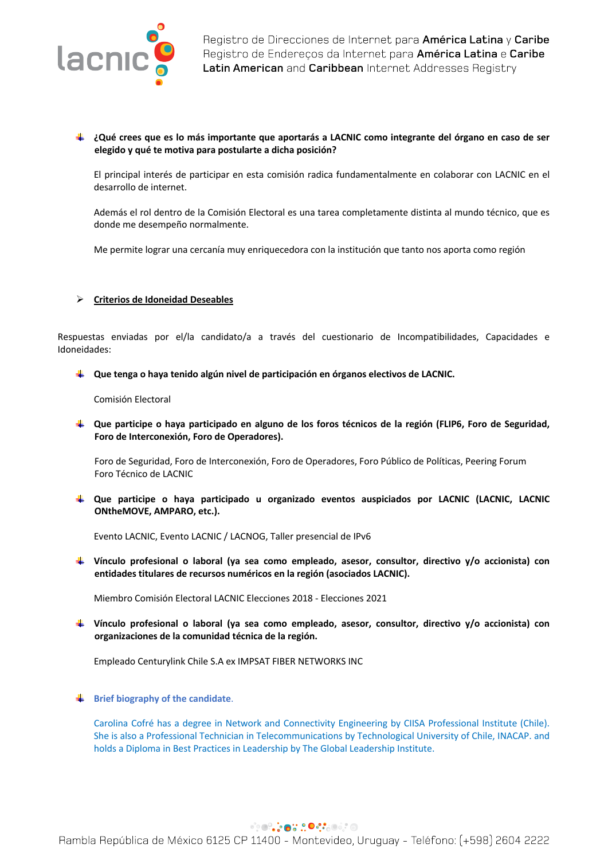

## **¿Qué crees que es lo más importante que aportarás a LACNIC como integrante del órgano en caso de ser elegido y qué te motiva para postularte a dicha posición?**

El principal interés de participar en esta comisión radica fundamentalmente en colaborar con LACNIC en el desarrollo de internet.

Además el rol dentro de la Comisión Electoral es una tarea completamente distinta al mundo técnico, que es donde me desempeño normalmente.

Me permite lograr una cercanía muy enriquecedora con la institución que tanto nos aporta como región

### Ø **Criterios de Idoneidad Deseables**

Respuestas enviadas por el/la candidato/a a través del cuestionario de Incompatibilidades, Capacidades e Idoneidades:

**Que tenga o haya tenido algún nivel de participación en órganos electivos de LACNIC.**

Comisión Electoral

**Que participe o haya participado en alguno de los foros técnicos de la región (FLIP6, Foro de Seguridad, Foro de Interconexión, Foro de Operadores).** 

Foro de Seguridad, Foro de Interconexión, Foro de Operadores, Foro Público de Políticas, Peering Forum Foro Técnico de LACNIC

**Que participe o haya participado u organizado eventos auspiciados por LACNIC (LACNIC, LACNIC ONtheMOVE, AMPARO, etc.).** 

Evento LACNIC, Evento LACNIC / LACNOG, Taller presencial de IPv6

**Vínculo profesional o laboral (ya sea como empleado, asesor, consultor, directivo y/o accionista) con entidades titulares de recursos numéricos en la región (asociados LACNIC).**

Miembro Comisión Electoral LACNIC Elecciones 2018 - Elecciones 2021

**Vínculo profesional o laboral (ya sea como empleado, asesor, consultor, directivo y/o accionista) con organizaciones de la comunidad técnica de la región.**

Empleado Centurylink Chile S.A ex IMPSAT FIBER NETWORKS INC

**Brief biography of the candidate**.

Carolina Cofré has a degree in Network and Connectivity Engineering by CIISA Professional Institute (Chile). She is also a Professional Technician in Telecommunications by Technological University of Chile, INACAP. and holds a Diploma in Best Practices in Leadership by The Global Leadership Institute.

## **PRODUCT OF SOCIO**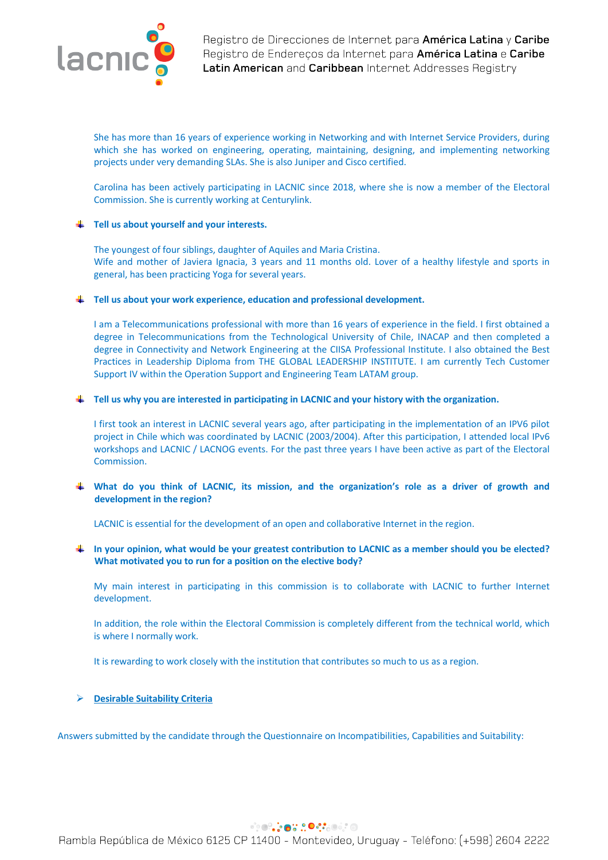

She has more than 16 years of experience working in Networking and with Internet Service Providers, during which she has worked on engineering, operating, maintaining, designing, and implementing networking projects under very demanding SLAs. She is also Juniper and Cisco certified.

Carolina has been actively participating in LACNIC since 2018, where she is now a member of the Electoral Commission. She is currently working at Centurylink.

## **Tell us about yourself and your interests.**

The youngest of four siblings, daughter of Aquiles and Maria Cristina. Wife and mother of Javiera Ignacia, 3 years and 11 months old. Lover of a healthy lifestyle and sports in general, has been practicing Yoga for several years.

### **Tell us about your work experience, education and professional development.**

I am a Telecommunications professional with more than 16 years of experience in the field. I first obtained a degree in Telecommunications from the Technological University of Chile, INACAP and then completed a degree in Connectivity and Network Engineering at the CIISA Professional Institute. I also obtained the Best Practices in Leadership Diploma from THE GLOBAL LEADERSHIP INSTITUTE. I am currently Tech Customer Support IV within the Operation Support and Engineering Team LATAM group.

## **Tell us why you are interested in participating in LACNIC and your history with the organization.**

I first took an interest in LACNIC several years ago, after participating in the implementation of an IPV6 pilot project in Chile which was coordinated by LACNIC (2003/2004). After this participation, I attended local IPv6 workshops and LACNIC / LACNOG events. For the past three years I have been active as part of the Electoral Commission.

**What do you think of LACNIC, its mission, and the organization's role as a driver of growth and development in the region?**

LACNIC is essential for the development of an open and collaborative Internet in the region.

**In your opinion, what would be your greatest contribution to LACNIC as a member should you be elected? What motivated you to run for a position on the elective body?**

My main interest in participating in this commission is to collaborate with LACNIC to further Internet development.

In addition, the role within the Electoral Commission is completely different from the technical world, which is where I normally work.

It is rewarding to work closely with the institution that contributes so much to us as a region.

# Ø **Desirable Suitability Criteria**

Answers submitted by the candidate through the Questionnaire on Incompatibilities, Capabilities and Suitability:

# **PRODUCT OF SOCIOL**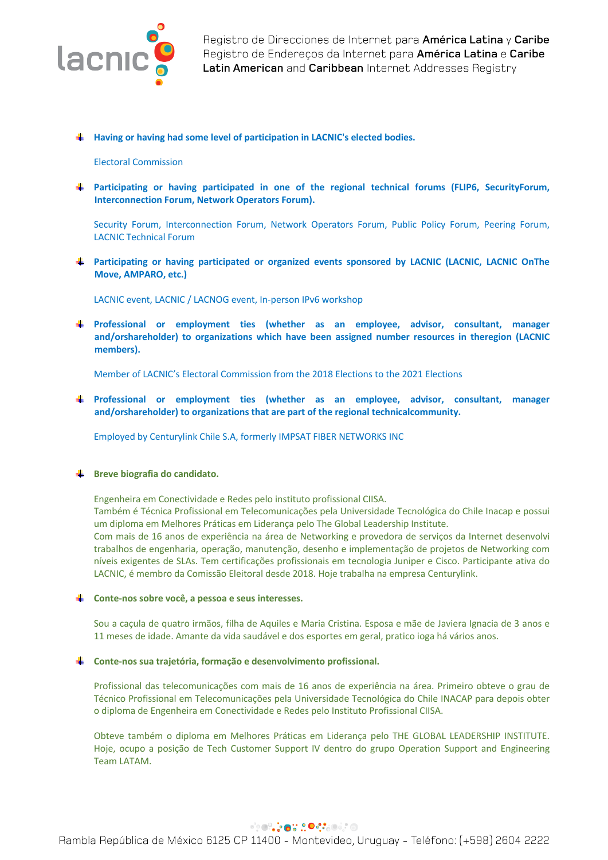

**Having or having had some level of participation in LACNIC's elected bodies.**

### Electoral Commission

**Participating or having participated in one of the regional technical forums (FLIP6, SecurityForum, Interconnection Forum, Network Operators Forum).**

Security Forum, Interconnection Forum, Network Operators Forum, Public Policy Forum, Peering Forum, LACNIC Technical Forum

**Participating or having participated or organized events sponsored by LACNIC (LACNIC, LACNIC OnThe Move, AMPARO, etc.)**

LACNIC event, LACNIC / LACNOG event, In-person IPv6 workshop

**Professional or employment ties (whether as an employee, advisor, consultant, manager and/orshareholder) to organizations which have been assigned number resources in theregion (LACNIC members).**

Member of LACNIC's Electoral Commission from the 2018 Elections to the 2021 Elections

**Professional or employment ties (whether as an employee, advisor, consultant, manager and/orshareholder) to organizations that are part of the regional technicalcommunity.**

Employed by Centurylink Chile S.A, formerly IMPSAT FIBER NETWORKS INC

## **Breve biografia do candidato.**

Engenheira em Conectividade e Redes pelo instituto profissional CIISA.

Também é Técnica Profissional em Telecomunicações pela Universidade Tecnológica do Chile Inacap e possui um diploma em Melhores Práticas em Liderança pelo The Global Leadership Institute.

Com mais de 16 anos de experiência na área de Networking e provedora de serviços da Internet desenvolvi trabalhos de engenharia, operação, manutenção, desenho e implementação de projetos de Networking com níveis exigentes de SLAs. Tem certificações profissionais em tecnologia Juniper e Cisco. Participante ativa do LACNIC, é membro da Comissão Eleitoral desde 2018. Hoje trabalha na empresa Centurylink.

#### **Conte-nos sobre você, a pessoa e seus interesses.**

Sou a caçula de quatro irmãos, filha de Aquiles e Maria Cristina. Esposa e mãe de Javiera Ignacia de 3 anos e 11 meses de idade. Amante da vida saudável e dos esportes em geral, pratico ioga há vários anos.

#### **Conte-nos sua trajetória, formação e desenvolvimento profissional.**

Profissional das telecomunicações com mais de 16 anos de experiência na área. Primeiro obteve o grau de Técnico Profissional em Telecomunicações pela Universidade Tecnológica do Chile INACAP para depois obter o diploma de Engenheira em Conectividade e Redes pelo Instituto Profissional CIISA.

Obteve também o diploma em Melhores Práticas em Liderança pelo THE GLOBAL LEADERSHIP INSTITUTE. Hoje, ocupo a posição de Tech Customer Support IV dentro do grupo Operation Support and Engineering Team LATAM.

# **PRODUCT OF SOCIOL**